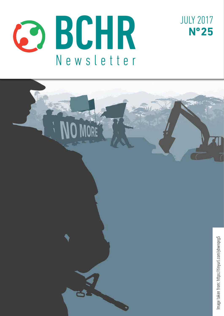



JULY 2017

**Nº 25**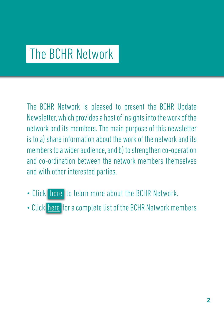# The BCHR Network

The BCHR Network is pleased to present the BCHR Update Newsletter, which provides a host of insights into the work of the network and its members. The main purpose of this newsletter is to a) share information about the work of the network and its members to a wider audience, and b) to strengthen co-operation and co-ordination between the network members themselves and with other interested parties.

- Click [here](http://www.networkbchr.org/) to learn more about the BCHR Network.
- Click [here](http://www.networkbchr.org/#!join-the-network/c24vq) for a complete list of the BCHR Network members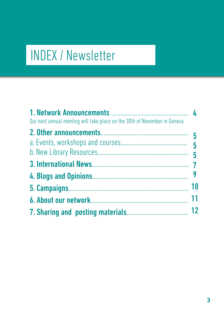# INDEX / Newsletter

| Our next annual meeting will take place on the 30th of November in Geneva |    |
|---------------------------------------------------------------------------|----|
|                                                                           |    |
|                                                                           |    |
|                                                                           |    |
|                                                                           |    |
|                                                                           | 10 |
|                                                                           | 11 |
|                                                                           | 12 |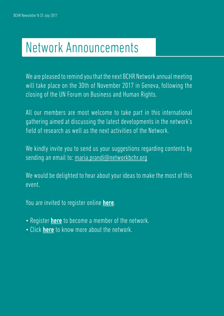# Network Announcements

We are pleased to remind you that the next BCHR Network annual meeting will take place on the 30th of November 2017 in Geneva, following the closing of the UN Forum on Business and Human Rights.

All our members are most welcome to take part in this international gathering aimed at discussing the latest developments in the network's field of research as well as the next activities of the Network.

We kindly invite you to send us your suggestions regarding contents by sending an email to: [maria.prandi@networkbchr.org](mailto:maria.prandi%40networkbchr.org?subject=BCHR%20Newsletter)

We would be delighted to hear about your ideas to make the most of this event.

You are invited to register online here.

- Register **[here](http://www.networkbchr.org/#!join-the-network/c24vq)** to become a member of the network.
- Click [here](http://www.networkbchr.org/#!the-network/cqn6) to know more about the network.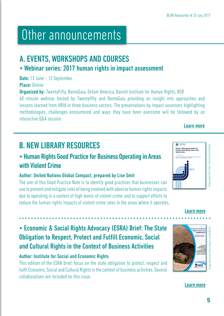# Other announcements

# A. EVENTS, WORKSHOPS AND COURSES

## • Webinar series: 2017 human rights in impact assessment

Date: 13 June - 12 September

Place: Online

**Organized by:** TwentyFifty, NomoGaia, Oxfam America, Danish Institute for Human Rights, BSR

60 minute webinar hosted by Twentyfifty and NomoGaia providing an insight into approaches and lessons learned from HRIA in three business sectors. The presentations by impact assessors highlighting methodologies, challenges encountered and ways they have been overcome will be followed by an interactive Q&A session.

# B. NEW LIBRARY RESOURCES

## • Human Rights Good Practice for Business Operating in Areas with Violent Crime

### Author: United Nations Global Compact, prepared by Lise Smit

The aim of this Good Practice Note is to identify good practices that businesses can use to prevent and mitigate risks of being involved with adverse human rights impacts due to operating in a context of high levels of violent crime, and to support efforts to reduce the human rights impacts of violent crime rates in the areas where it operates.

Image taken from: https://tinyurl.com/y7swbc4y mage taken from: https://tinyurl.com/y7swbc4y

[Learn more](http://bit.ly/HRIAcases)

[Learn more](https://tinyurl.com/y7swbc4y)

# • Economic & Social Rights Advocacy (ESRA) Brief: The State Obligation to Respect, Protect and Fulfill Economic, Social and Cultural Rights in the Context of Business Activities

### Author: Institute for Social and Economic Rights

This edition of the ESRA brief, focus on the state obligation to protect, respect and fulfil Economic, Social and Cultural Rights in the context of business activities. Several collaborations are included on this issue.

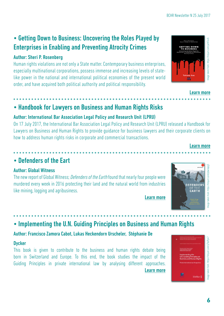### • Getting Down to Business: Uncovering the Roles Played by Enterprises in Enabling and Preventing Atrocity Crimes

#### Author: Sheri P. Rosenberg

Human rights violations are not only a State matter. Contemporary business enterprises, especially multinational corporations, possess immense and increasing levels of statelike power in the national and international political economies of the present world order, and have acquired both political authority and political responsibility.

# • Handbook for Lawyers on Business and Human Rights Risks

### Author: International Bar Association Legal Policy and Research Unit (LPRU)

On 17 July 2017, the International Bar Association Legal Policy and Research Unit (LPRU) released a Handbook for Lawyers on Business and Human Rights to provide guidance for business lawyers and their corporate clients on how to address human rights risks in corporate and commercial transactions.

## • Defenders of the Eart

#### Author: Global Witness

The new report of Global Witness; *Defenders of the Earth* found that nearly four people were murdered every week in 2016 protecting their land and the natural world from industries like mining, logging and agribusiness.

• Implementing the U.N. Guiding Principles on Business and Human Rights

### Author: Francisco Zamora Cabot, Lukas Heckendorn Urscheler, Stéphanie De

#### **Dycker**

This book is given to contribute to the business and human rights debate being born in Switzerland and Europe. To this end, the book studies the impact of the Guiding Principles in private international law by analysing different approaches. [Learn more](https://tinyurl.com/y7bo9y47)





[Learn more](https://tinyurl.com/ybwnqeg5)



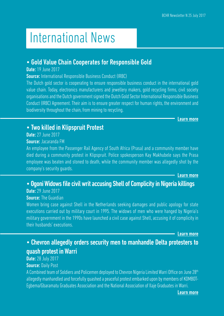# International News

### • Gold Value Chain Cooperates for Responsible Gold

#### Date: 19 June 2017

Source: International Responsible Business Conduct (IRBC)

The Dutch gold sector is cooperating to ensure responsible business conduct in the international gold value chain. Today, electronics manufacturers and jewellery makers, gold recycling firms, civil society organisations and the Dutch government signed the Dutch Gold Sector International Responsible Business Conduct (IRBC) Agreement. Their aim is to ensure greater respect for human rights, the environment and biodiversity throughout the chain, from mining to recycling.

[Learn more](https://tinyurl.com/ybwur23m)

### • Two killed in Klipspruit Protest

Date: 27 June 2017

#### Source: Jacaranda FM

An employee from the Passenger Rail Agency of South Africa (Prasa) and a community member have died during a community protest in Klipspruit. Police spokesperson Kay Makhubele says the Prasa employee was beaten and stoned to death, while the community member was allegedly shot by the company's security guards.

[Learn more](https://tinyurl.com/y8bobpoo)

### • Ogoni Widows file civil writ accusing Shell of Complicity in Nigeria killings

Date: 29 June 2017 **Source: The Guardian** 

Women bring case against Shell in the Netherlands seeking damages and public apology for state executions carried out by military court in 1995. The widows of men who were hanged by Nigeria's military government in the 1990s have launched a civil case against Shell, accusing it of complicity in their husbands' executions.

[Learn more](https://tinyurl.com/y7q6npnh)

## • Chevron allegedly orders security men to manhandle Delta protesters to quash protest in Warri

### **Date: 28 July 2017**

**Source: Daily Post** 

A Combined team of Soldiers and Policemen deployed to Chevron Nigeria Limited Warri Office on June 28th allegedly manhandled and forcefully quashed a peaceful protest embarked upon by members of KOMBOT-Egbema/Gbaramatu Graduates Association and the National Association of Ilaje Graduates in Warri.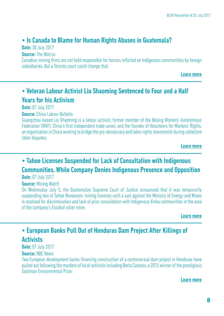### • Is Canada to Blame for Human Rights Abuses in Guatemala?

**Date: 30 July 2017** 

**Source: The Walrus** 

Canadian mining firms are not held responsible for horrors inflicted on Indigenous communities by foreign subsidiaries. But a Toronto court could change that.

[Learn more](https://tinyurl.com/ybkswu6x)

## • Veteran Labour Activist Liu Shaoming Sentenced to Four and a Half Years for his Activism

**Date: 07 July 2017** 

Source: China Labour Bulletin

Guangzhou-based Liu Shaoming is a labour activist; former member of the Beijing Workers' Autonomous Federation (WAF), China's first independent trade union; and the founder of Volunteers for Workers' Rights, an organization in China working to bridge the pro-democracy and labor rights movements during collective labor disputes.

[Learn more](https://tinyurl.com/y88gqqoj)

# • Tahoe Licenses Suspended for Lack of Consultation with Indigenous Communities, While Company Denies Indigenous Presence and Opposition

#### **Date: 07 July 2017**

#### **Source: Mining Watch**

On Wednesday July 5, the Guatemalan Supreme Court of Justice announced that it was temporarily suspending two of Tahoe Resources' mining licences until a suit against the Ministry of Energy and Mines is resolved for discrimination and lack of prior consultation with Indigenous Xinka communities in the area of the company's Escobal silver mine.

[Learn more](https://tinyurl.com/y7var3f2)

# • European Banks Pull Out of Honduras Dam Project After Killings of **Activists**

**Date: 07 July 2017** 

#### Source: NBC News

Two European development banks financing construction of a controversial dam project in Honduras have pulled out following the murders of local activists including Berta Caceres, a 2015 winner of the prestigious Goldman Environmental Prize.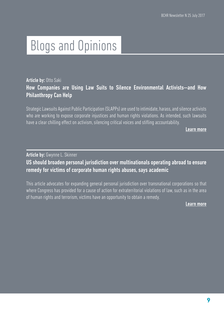# Blogs and Opinions

### Article by: Otto Saki How Companies are Using Law Suits to Silence Environmental Activists—and How Philanthropy Can Help

Strategic Lawsuits Against Public Participation (SLAPPs) are used to intimidate, harass, and silence activists who are working to expose corporate injustices and human rights violations. As intended, such lawsuits have a clear chilling effect on activism, silencing critical voices and stifling accountability.

[Learn more](https://tinyurl.com/ybezyhu4)

Article by: Gwynne L. Skinner

US should broaden personal jurisdiction over multinationals operating abroad to ensure remedy for victims of corporate human rights abuses, says academic

This article advocates for expanding general personal jurisdiction over transnational corporations so that where Congress has provided for a cause of action for extraterritorial violations of law, such as in the area of human rights and terrorism, victims have an opportunity to obtain a remedy.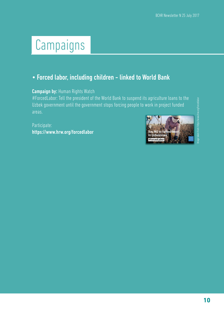# Campaigns

## • Forced labor, including children - linked to World Bank

#### Campaign by: Human Rights Watch

#ForcedLabor: Tell the president of the World Bank to suspend its agriculture loans to the Uzbek government until the government stops forcing people to work in project funded areas.

Participate: <https://www.hrw.org/forcedlabor>



Image taken from: https://www.hrw.org/forcedlaborhaqe taken from: https://www.hrw.orc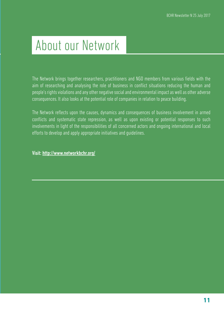# About our Network

The Network brings together researchers, practitioners and NGO members from various fields with the aim of researching and analysing the role of business in conflict situations reducing the human and people's rights violations and any other negative social and environmental impact as well as other adverse consequences. It also looks at the potential role of companies in relation to peace building.

The Network reflects upon the causes, dynamics and consequences of business involvement in armed conflicts and systematic state repression, as well as upon existing or potential responses to such involvements in light of the responsibilities of all concerned actors and ongoing international and local efforts to develop and apply appropriate initiatives and guidelines.

Visit: <http://www.networkbchr.org/>